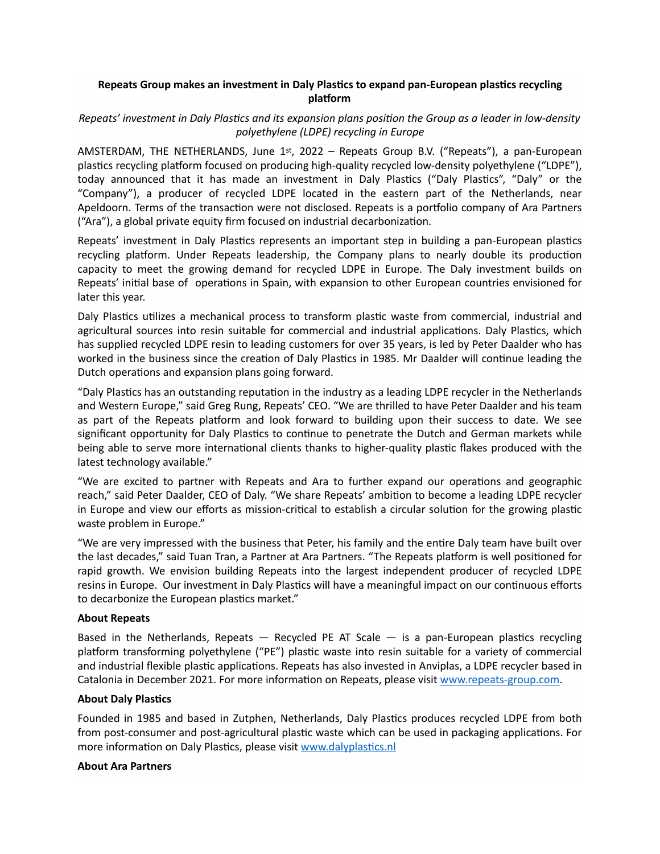# **Repeats Group makes an investment in Daly Plastics to expand pan-European plastics recycling platform**

### *Repeats'* investment in Daly Plastics and its expansion plans position the Group as a leader in low-density *polyethylene (LDPE) recycling in Europe*

AMSTERDAM, THE NETHERLANDS, June 1st, 2022 – Repeats Group B.V. ("Repeats"), a pan-European plastics recycling platform focused on producing high-quality recycled low-density polyethylene ("LDPE"), today announced that it has made an investment in Daly Plastics ("Daly Plastics", "Daly" or the "Company"), a producer of recycled LDPE located in the eastern part of the Netherlands, near Apeldoorn. Terms of the transaction were not disclosed. Repeats is a portfolio company of Ara Partners ("Ara"), a global private equity firm focused on industrial decarbonization.

Repeats' investment in Daly Plastics represents an important step in building a pan-European plastics recycling platform. Under Repeats leadership, the Company plans to nearly double its production capacity to meet the growing demand for recycled LDPE in Europe. The Daly investment builds on Repeats' initial base of operations in Spain, with expansion to other European countries envisioned for later this year.

Daly Plastics utilizes a mechanical process to transform plastic waste from commercial, industrial and agricultural sources into resin suitable for commercial and industrial applications. Daly Plastics, which has supplied recycled LDPE resin to leading customers for over 35 years, is led by Peter Daalder who has worked in the business since the creation of Daly Plastics in 1985. Mr Daalder will continue leading the Dutch operations and expansion plans going forward.

"Daly Plastics has an outstanding reputation in the industry as a leading LDPE recycler in the Netherlands and Western Europe," said Greg Rung, Repeats' CEO. "We are thrilled to have Peter Daalder and his team as part of the Repeats platform and look forward to building upon their success to date. We see significant opportunity for Daly Plastics to continue to penetrate the Dutch and German markets while being able to serve more international clients thanks to higher-quality plastic flakes produced with the latest technology available."

"We are excited to partner with Repeats and Ara to further expand our operations and geographic reach," said Peter Daalder, CEO of Daly. "We share Repeats' ambition to become a leading LDPE recycler in Europe and view our efforts as mission-critical to establish a circular solution for the growing plastic waste problem in Europe."

"We are very impressed with the business that Peter, his family and the entire Daly team have built over the last decades," said Tuan Tran, a Partner at Ara Partners. "The Repeats platform is well positioned for rapid growth. We envision building Repeats into the largest independent producer of recycled LDPE resins in Europe. Our investment in Daly Plastics will have a meaningful impact on our continuous efforts to decarbonize the European plastics market."

#### **About Repeats**

Based in the Netherlands, Repeats  $-$  Recycled PE AT Scale  $-$  is a pan-European plastics recycling platform transforming polyethylene ("PE") plastic waste into resin suitable for a variety of commercial and industrial flexible plastic applications. Repeats has also invested in Anviplas, a LDPE recycler based in Catalonia in December 2021. For more information on Repeats, please visit www.repeats-group.com.

#### **About Daly Plastics**

Founded in 1985 and based in Zutphen, Netherlands, Daly Plastics produces recycled LDPE from both from post-consumer and post-agricultural plastic waste which can be used in packaging applications. For more information on Daly Plastics, please visit www.dalyplastics.nl

#### **About Ara Partners**